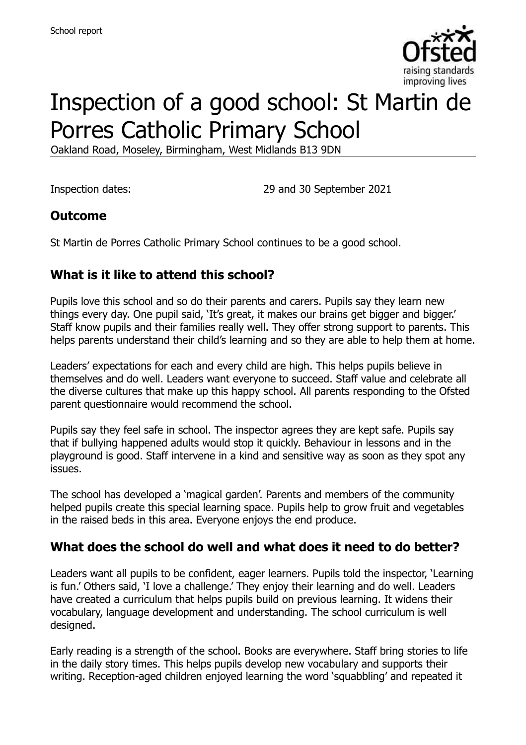

# Inspection of a good school: St Martin de Porres Catholic Primary School

Oakland Road, Moseley, Birmingham, West Midlands B13 9DN

Inspection dates: 29 and 30 September 2021

# **Outcome**

St Martin de Porres Catholic Primary School continues to be a good school.

# **What is it like to attend this school?**

Pupils love this school and so do their parents and carers. Pupils say they learn new things every day. One pupil said, 'It's great, it makes our brains get bigger and bigger.' Staff know pupils and their families really well. They offer strong support to parents. This helps parents understand their child's learning and so they are able to help them at home.

Leaders' expectations for each and every child are high. This helps pupils believe in themselves and do well. Leaders want everyone to succeed. Staff value and celebrate all the diverse cultures that make up this happy school. All parents responding to the Ofsted parent questionnaire would recommend the school.

Pupils say they feel safe in school. The inspector agrees they are kept safe. Pupils say that if bullying happened adults would stop it quickly. Behaviour in lessons and in the playground is good. Staff intervene in a kind and sensitive way as soon as they spot any issues.

The school has developed a 'magical garden'. Parents and members of the community helped pupils create this special learning space. Pupils help to grow fruit and vegetables in the raised beds in this area. Everyone enjoys the end produce.

### **What does the school do well and what does it need to do better?**

Leaders want all pupils to be confident, eager learners. Pupils told the inspector, 'Learning is fun.' Others said, 'I love a challenge.' They enjoy their learning and do well. Leaders have created a curriculum that helps pupils build on previous learning. It widens their vocabulary, language development and understanding. The school curriculum is well designed.

Early reading is a strength of the school. Books are everywhere. Staff bring stories to life in the daily story times. This helps pupils develop new vocabulary and supports their writing. Reception-aged children enjoyed learning the word 'squabbling' and repeated it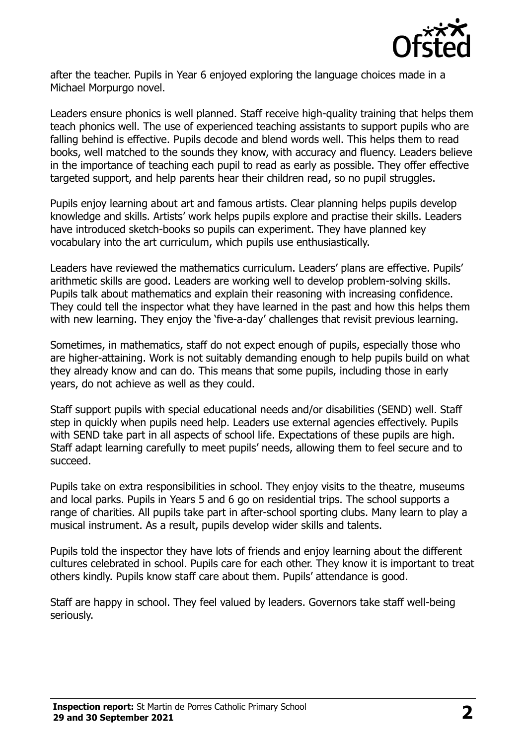

after the teacher. Pupils in Year 6 enjoyed exploring the language choices made in a Michael Morpurgo novel.

Leaders ensure phonics is well planned. Staff receive high-quality training that helps them teach phonics well. The use of experienced teaching assistants to support pupils who are falling behind is effective. Pupils decode and blend words well. This helps them to read books, well matched to the sounds they know, with accuracy and fluency. Leaders believe in the importance of teaching each pupil to read as early as possible. They offer effective targeted support, and help parents hear their children read, so no pupil struggles.

Pupils enjoy learning about art and famous artists. Clear planning helps pupils develop knowledge and skills. Artists' work helps pupils explore and practise their skills. Leaders have introduced sketch-books so pupils can experiment. They have planned key vocabulary into the art curriculum, which pupils use enthusiastically.

Leaders have reviewed the mathematics curriculum. Leaders' plans are effective. Pupils' arithmetic skills are good. Leaders are working well to develop problem-solving skills. Pupils talk about mathematics and explain their reasoning with increasing confidence. They could tell the inspector what they have learned in the past and how this helps them with new learning. They enjoy the 'five-a-day' challenges that revisit previous learning.

Sometimes, in mathematics, staff do not expect enough of pupils, especially those who are higher-attaining. Work is not suitably demanding enough to help pupils build on what they already know and can do. This means that some pupils, including those in early years, do not achieve as well as they could.

Staff support pupils with special educational needs and/or disabilities (SEND) well. Staff step in quickly when pupils need help. Leaders use external agencies effectively. Pupils with SEND take part in all aspects of school life. Expectations of these pupils are high. Staff adapt learning carefully to meet pupils' needs, allowing them to feel secure and to succeed.

Pupils take on extra responsibilities in school. They enjoy visits to the theatre, museums and local parks. Pupils in Years 5 and 6 go on residential trips. The school supports a range of charities. All pupils take part in after-school sporting clubs. Many learn to play a musical instrument. As a result, pupils develop wider skills and talents.

Pupils told the inspector they have lots of friends and enjoy learning about the different cultures celebrated in school. Pupils care for each other. They know it is important to treat others kindly. Pupils know staff care about them. Pupils' attendance is good.

Staff are happy in school. They feel valued by leaders. Governors take staff well-being seriously.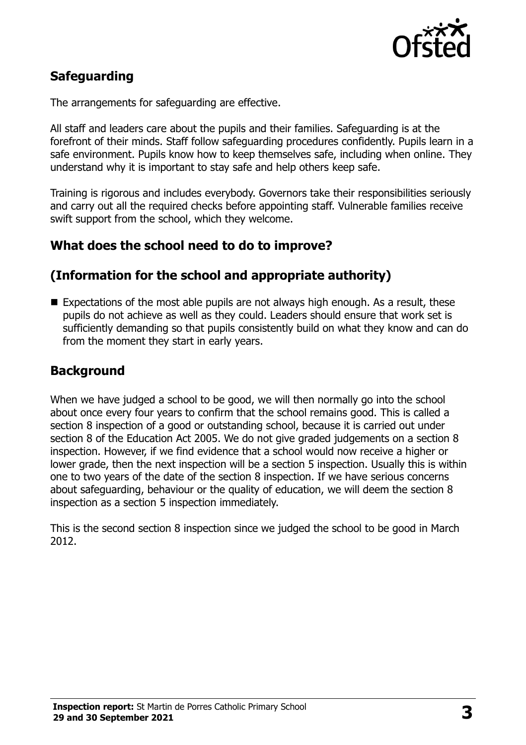

# **Safeguarding**

The arrangements for safeguarding are effective.

All staff and leaders care about the pupils and their families. Safeguarding is at the forefront of their minds. Staff follow safeguarding procedures confidently. Pupils learn in a safe environment. Pupils know how to keep themselves safe, including when online. They understand why it is important to stay safe and help others keep safe.

Training is rigorous and includes everybody. Governors take their responsibilities seriously and carry out all the required checks before appointing staff. Vulnerable families receive swift support from the school, which they welcome.

### **What does the school need to do to improve?**

#### **(Information for the school and appropriate authority)**

Expectations of the most able pupils are not always high enough. As a result, these pupils do not achieve as well as they could. Leaders should ensure that work set is sufficiently demanding so that pupils consistently build on what they know and can do from the moment they start in early years.

#### **Background**

When we have judged a school to be good, we will then normally go into the school about once every four years to confirm that the school remains good. This is called a section 8 inspection of a good or outstanding school, because it is carried out under section 8 of the Education Act 2005. We do not give graded judgements on a section 8 inspection. However, if we find evidence that a school would now receive a higher or lower grade, then the next inspection will be a section 5 inspection. Usually this is within one to two years of the date of the section 8 inspection. If we have serious concerns about safeguarding, behaviour or the quality of education, we will deem the section 8 inspection as a section 5 inspection immediately.

This is the second section 8 inspection since we judged the school to be good in March 2012.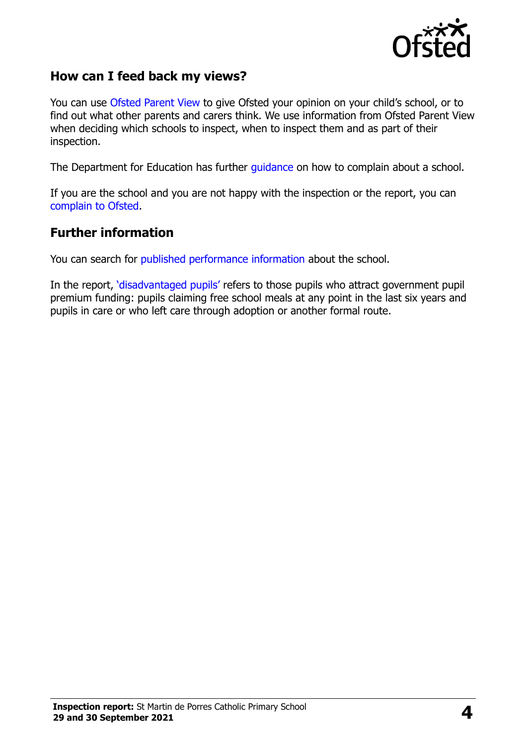

### **How can I feed back my views?**

You can use [Ofsted Parent View](https://parentview.ofsted.gov.uk/) to give Ofsted your opinion on your child's school, or to find out what other parents and carers think. We use information from Ofsted Parent View when deciding which schools to inspect, when to inspect them and as part of their inspection.

The Department for Education has further [guidance](http://www.gov.uk/complain-about-school) on how to complain about a school.

If you are the school and you are not happy with the inspection or the report, you can [complain to Ofsted.](https://www.gov.uk/complain-ofsted-report)

#### **Further information**

You can search for [published performance information](http://www.compare-school-performance.service.gov.uk/) about the school.

In the report, '[disadvantaged pupils](http://www.gov.uk/guidance/pupil-premium-information-for-schools-and-alternative-provision-settings)' refers to those pupils who attract government pupil premium funding: pupils claiming free school meals at any point in the last six years and pupils in care or who left care through adoption or another formal route.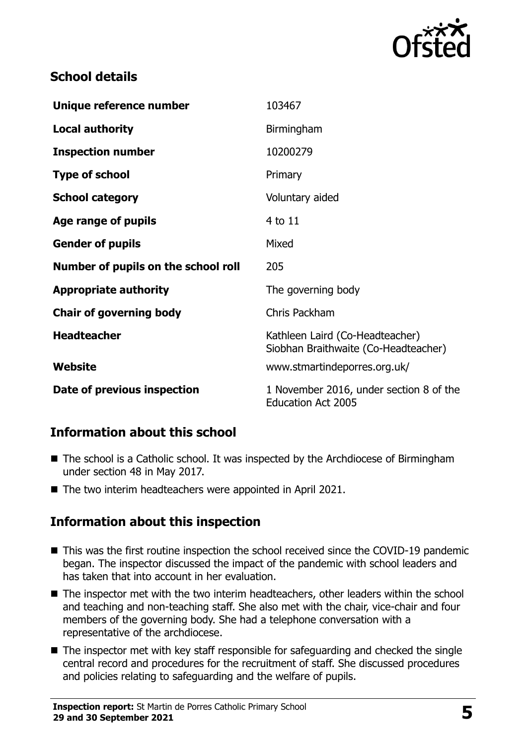

# **School details**

| Unique reference number             | 103467                                                                  |
|-------------------------------------|-------------------------------------------------------------------------|
| <b>Local authority</b>              | Birmingham                                                              |
| <b>Inspection number</b>            | 10200279                                                                |
| <b>Type of school</b>               | Primary                                                                 |
| <b>School category</b>              | Voluntary aided                                                         |
| Age range of pupils                 | 4 to 11                                                                 |
| <b>Gender of pupils</b>             | Mixed                                                                   |
| Number of pupils on the school roll | 205                                                                     |
| <b>Appropriate authority</b>        | The governing body                                                      |
| <b>Chair of governing body</b>      | Chris Packham                                                           |
| <b>Headteacher</b>                  | Kathleen Laird (Co-Headteacher)<br>Siobhan Braithwaite (Co-Headteacher) |
| <b>Website</b>                      | www.stmartindeporres.org.uk/                                            |
| Date of previous inspection         |                                                                         |

### **Information about this school**

- The school is a Catholic school. It was inspected by the Archdiocese of Birmingham under section 48 in May 2017.
- The two interim headteachers were appointed in April 2021.

# **Information about this inspection**

- This was the first routine inspection the school received since the COVID-19 pandemic began. The inspector discussed the impact of the pandemic with school leaders and has taken that into account in her evaluation.
- The inspector met with the two interim headteachers, other leaders within the school and teaching and non-teaching staff. She also met with the chair, vice-chair and four members of the governing body. She had a telephone conversation with a representative of the archdiocese.
- The inspector met with key staff responsible for safeguarding and checked the single central record and procedures for the recruitment of staff. She discussed procedures and policies relating to safeguarding and the welfare of pupils.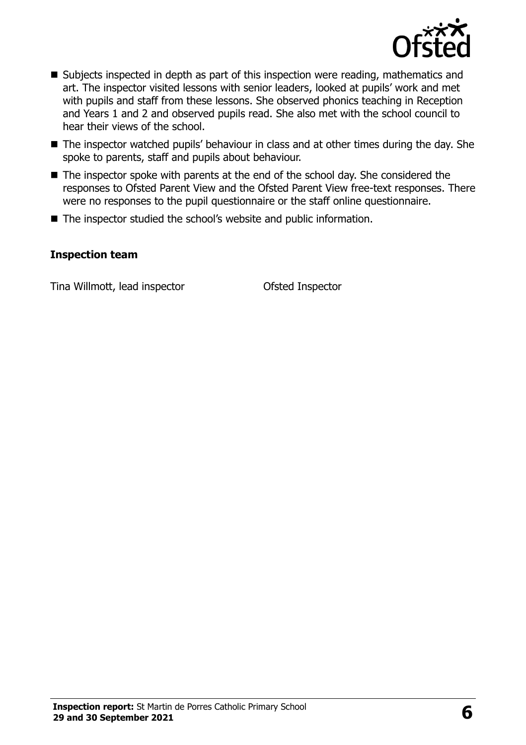

- Subjects inspected in depth as part of this inspection were reading, mathematics and art. The inspector visited lessons with senior leaders, looked at pupils' work and met with pupils and staff from these lessons. She observed phonics teaching in Reception and Years 1 and 2 and observed pupils read. She also met with the school council to hear their views of the school.
- The inspector watched pupils' behaviour in class and at other times during the day. She spoke to parents, staff and pupils about behaviour.
- The inspector spoke with parents at the end of the school day. She considered the responses to Ofsted Parent View and the Ofsted Parent View free-text responses. There were no responses to the pupil questionnaire or the staff online questionnaire.
- The inspector studied the school's website and public information.

#### **Inspection team**

Tina Willmott, lead inspector Ofsted Inspector